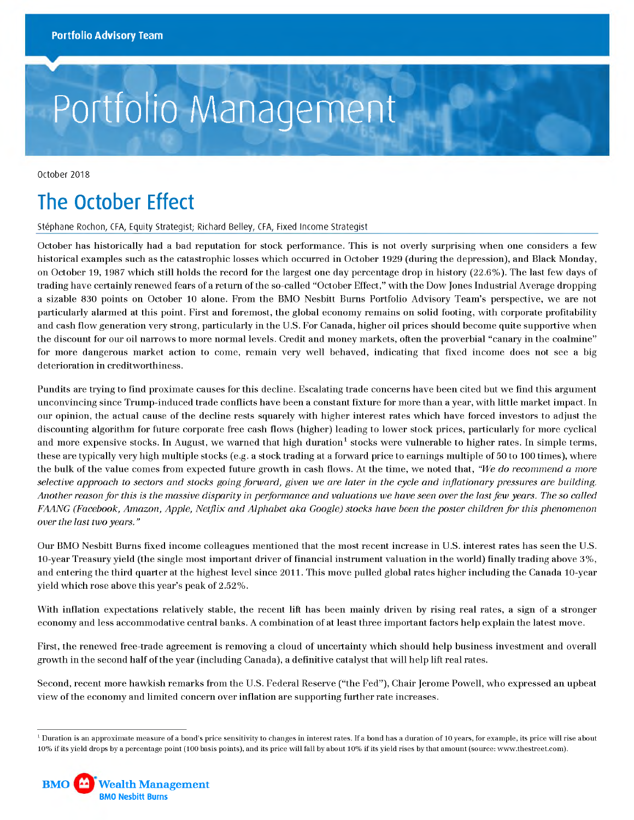# Portfolio Management

October 2018

## **The October Effect**

Stéphane Rochon, CFA, Equity Strategist; Richard Belley, CFA, Fixed Income Strategist

October has historically had a bad reputation for stock performance. This is not overly surprising when one considers a few historical examples such as the catastrophic losses which occurred in October 1929 (during the depression), and Black Monday, on October 19, 1987 which still holds the record for the largest one day percentage drop in history (22.6%). The last few days of trading have certainly renewed fears of a return of the so-called "October Effect," with the Dow Jones Industrial Average dropping a sizable 830 points on October 10 alone. From the BMO Nesbitt Burns Portfolio Advisory Team's perspective, we are not particularly alarmed at this point. First and foremost, the global economy remains on solid footing, with corporate profitability and cash flow generation very strong, particularly in the U.S. For Canada, higher oil prices should become quite supportive when the discount for our oil narrows to more normal levels. Credit and money markets, often the proverbial "canary in the coalmine" for more dangerous market action to come, remain very well behaved, indicating that fixed income does not see a big deterioration in creditworthiness.

Pundits are trying to find proximate causes for this decline. Escalating trade concerns have been cited but we find this argument unconvincing since Trump-induced trade conflicts have been a constant fixture for more than a year, with little market impact. In our opinion, the actual cause of the decline rests squarely with higher interest rates which have forced investors to adjust the discounting algorithm for future corporate free cash flows (higher) leading to lower stock prices, particularly for more cyclical and more expensive stocks. In August, we warned that high duration<sup>1</sup> stocks were vulnerable to higher rates. In simple terms, these are typically very high multiple stocks (e.g. a stock trading at a forward price to earnings multiple of 50 to 100 times), where the bulk of the value comes from expected future growth in cash flows. At the time, we noted that, *"We do recommend a more* selective approach to sectors and stocks going forward, given we are later in the cycle and inflationary pressures are building. *Another reason for this is the massive disparity in performance and valuations we have seen over the last few years. The so called FAANG (Facebook, Amazon, Apple, Netflix and Alphabet aka Google) stocks have been the poster children for this phenomenon over the last two years. "*

Our BMO Nesbitt Burns fixed income colleagues mentioned that the most recent increase in U.S. interest rates has seen the U.S. 10-year Treasury yield (the single most important driver of financial instrument valuation in the world) finally trading above 3%, and entering the third quarter at the highest level since 2011. This move pulled global rates higher including the Canada 10-year yield which rose above this year's peak of 2.52%.

With inflation expectations relatively stable, the recent lift has been mainly driven by rising real rates, a sign of a stronger economy and less accommodative central banks. A combination of at least three important factors help explain the latest move.

First, the renewed free-trade agreement is removing a cloud of uncertainty which should help business investment and overall growth in the second half of the year (including Canada), a definitive catalyst that will help lift real rates.

Second, recent more hawkish remarks from the U.S. Federal Reserve ("the Fed"), Chair Jerome Powell, who expressed an upbeat view of the economy and limited concern over inflation are supporting further rate increases.

 $1$  Duration is an approximate measure of a bond's price sensitivity to changes in interest rates. If a bond has a duration of 10 years, for example, its price will rise about 10% if its yield drops by a percentage point (100 basis points), and its price will fall by about 10% if its yield rises by that amount (source: [www.thestreet.com\)](http://www.thestreet.com).

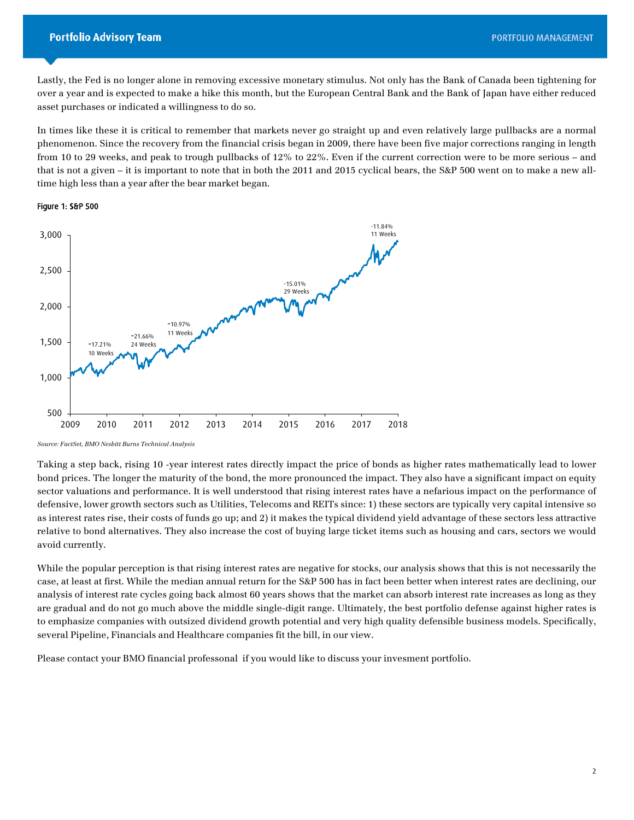Lastly, the Fed is no longer alone in removing excessive monetary stimulus. Not only has the Bank of Canada been tightening for over a year and is expected to make a hike this month, but the European Central Bank and the Bank of Japan have either reduced asset purchases or indicated a willingness to do so.

 time high less than a year after the bear market began. In times like these it is critical to remember that markets never go straight up and even relatively large pullbacks are a normal phenomenon. Since the recovery from the financial crisis began in 2009, there have been five major corrections ranging in length from 10 to 29 weeks, and peak to trough pullbacks of 12% to 22%. Even if the current correction were to be more serious – and that is not a given – it is important to note that in both the 2011 and 2015 cyclical bears, the S&P 500 went on to make a new all-

#### Figure 1: S&P 500



*Source: FactSet, BMO Nesbitt Burns Technical Analysis* 

Taking a step back, rising 10 -year interest rates directly impact the price of bonds as higher rates mathematically lead to lower bond prices. The longer the maturity of the bond, the more pronounced the impact. They also have a significant impact on equity sector valuations and performance. It is well understood that rising interest rates have a nefarious impact on the performance of defensive, lower growth sectors such as Utilities, Telecoms and REITs since: 1) these sectors are typically very capital intensive so as interest rates rise, their costs of funds go up; and 2) it makes the typical dividend yield advantage of these sectors less attractive relative to bond alternatives. They also increase the cost of buying large ticket items such as housing and cars, sectors we would avoid currently.

 While the popular perception is that rising interest rates are negative for stocks, our analysis shows that this is not necessarily the to emphasize companies with outsized dividend growth potential and very high quality defensible business models. Specifically, case, at least at first. While the median annual return for the S&P 500 has in fact been better when interest rates are declining, our analysis of interest rate cycles going back almost 60 years shows that the market can absorb interest rate increases as long as they are gradual and do not go much above the middle single-digit range. Ultimately, the best portfolio defense against higher rates is several Pipeline, Financials and Healthcare companies fit the bill, in our view.

Please contact your BMO financial professonal if you would like to discuss your invesment portfolio.